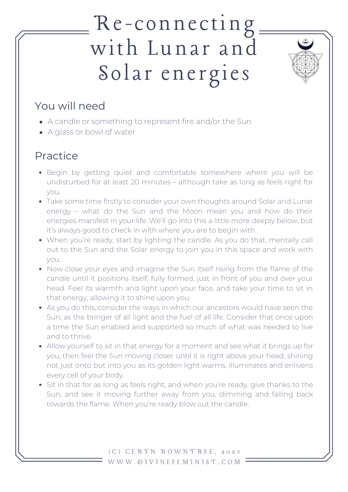## Re-connecting with Lunar and Solar energies



### You will need

- A candle or something to represent fire and/or the Sun
- A glass or bowl of water

## Practice

- Begin by getting quiet and comfortable somewhere where you will be undisturbed for at least 20 minutes – although take as long as feels right for you.
- Take some time firstly to consider your own thoughts around Solar and Lunar energy – what do the Sun and the Moon mean you and how do their energies manifest in your life. We'll go into this a little more deeply below, but it's always good to check in with where you are to begin with.
- When you're ready, start by lighting the candle. As you do that, mentally call out to the Sun and the Solar energy to join you in this space and work with you.
- Now close your eyes and imagine the Sun itself rising from the flame of the candle until it positions itself, fully formed, just in front of you and over your head. Feel its warmth and light upon your face, and take your time to sit in that energy, allowing it to shine upon you.
- As you do this, consider the ways in which our ancestors would have seen the Sun; as the bringer of all light and the fuel of all life. Consider that once upon a time the Sun enabled and supported so much of what was needed to live and to thrive.
- Allow yourself to sit in that energy for a moment and see what it brings up for you, then feel the Sun moving closer until it is right above your head, shining not just onto but into you as its golden light warms, illuminates and enlivens every cell of your body.
- Sit in that for as long as feels right, and when you're ready, give thanks to the Sun, and see it moving further away from you, dimming and falling back towards the flame. When you're ready blow out the candle.